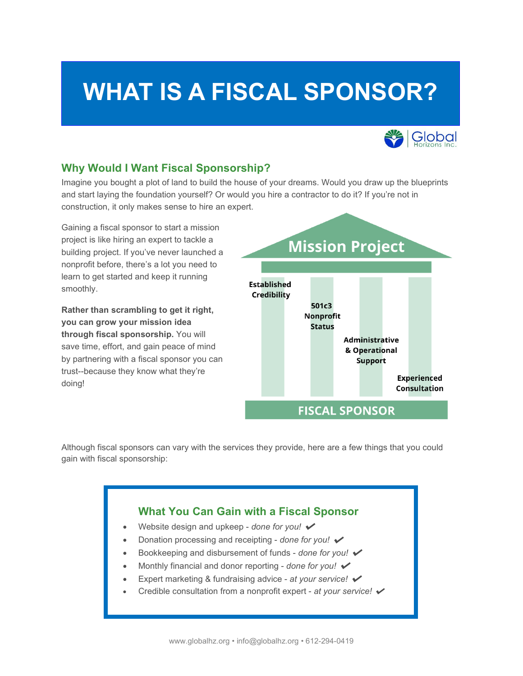# **WHAT IS A FISCAL SPONSOR?**



## **Why Would I Want Fiscal Sponsorship?**

Imagine you bought a plot of land to build the house of your dreams. Would you draw up the blueprints and start laying the foundation yourself? Or would you hire a contractor to do it? If you're not in construction, it only makes sense to hire an expert.

Gaining a fiscal sponsor to start a mission project is like hiring an expert to tackle a building project. If you've never launched a nonprofit before, there's a lot you need to learn to get started and keep it running smoothly.

**Rather than scrambling to get it right, you can grow your mission idea through fiscal sponsorship.** You will save time, effort, and gain peace of mind by partnering with a fiscal sponsor you can trust--because they know what they're doing!



Although fiscal sponsors can vary with the services they provide, here are a few things that you could gain with fiscal sponsorship:

## **What You Can Gain with a Fiscal Sponsor**

- Website design and upkeep *done for you!*
- Donation processing and receipting *done for you!* ✔
- Bookkeeping and disbursement of funds *done for you!* ✔
- Monthly financial and donor reporting *done for you!* ✔
- Expert marketing & fundraising advice *at your service!* ✔
- Credible consultation from a nonprofit expert *at your service!* ✔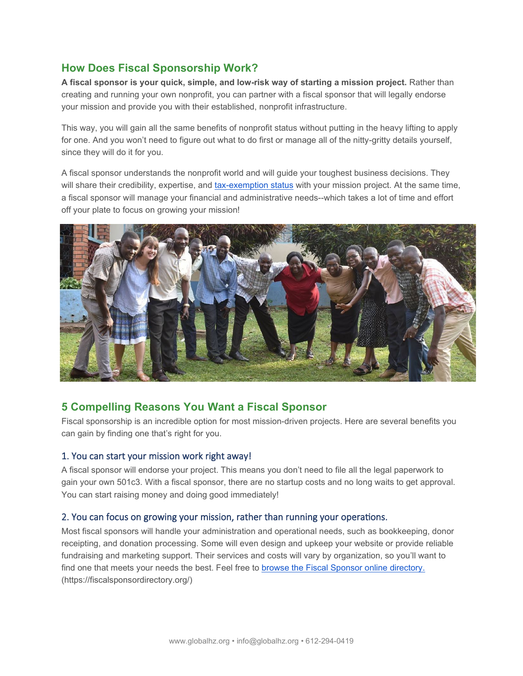# **How Does Fiscal Sponsorship Work?**

**A fiscal sponsor is your quick, simple, and low-risk way of starting a mission project.** Rather than creating and running your own nonprofit, you can partner with a fiscal sponsor that will legally endorse your mission and provide you with their established, nonprofit infrastructure.

This way, you will gain all the same benefits of nonprofit status without putting in the heavy lifting to apply for one. And you won't need to figure out what to do first or manage all of the nitty-gritty details yourself, since they will do it for you.

A fiscal sponsor understands the nonprofit world and will guide your toughest business decisions. They will share their credibility, expertise, and [tax-exemption status](https://www.irs.gov/charities-non-profits/applying-for-tax-exempt-status) with your mission project. At the same time, a fiscal sponsor will manage your financial and administrative needs--which takes a lot of time and effort off your plate to focus on growing your mission!



# **5 Compelling Reasons You Want a Fiscal Sponsor**

Fiscal sponsorship is an incredible option for most mission-driven projects. Here are several benefits you can gain by finding one that's right for you.

#### 1. You can start your mission work right away!

A fiscal sponsor will endorse your project. This means you don't need to file all the legal paperwork to gain your own 501c3. With a fiscal sponsor, there are no startup costs and no long waits to get approval. You can start raising money and doing good immediately!

#### 2. You can focus on growing your mission, rather than running your operations.

Most fiscal sponsors will handle your administration and operational needs, such as bookkeeping, donor receipting, and donation processing. Some will even design and upkeep your website or provide reliable fundraising and marketing support. Their services and costs will vary by organization, so you'll want to find one that meets your needs the best. Feel free to browse the Fiscal Sponsor [online directory.](https://fiscalsponsordirectory.org/) (https://fiscalsponsordirectory.org/)